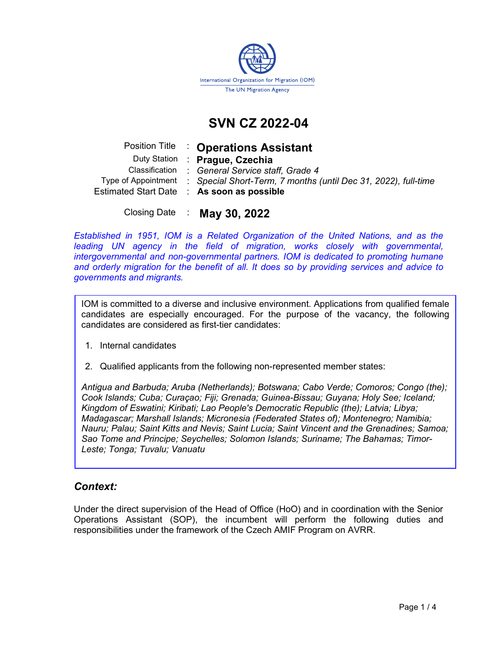

# SVN CZ 2022-04

|  | Position Title : Operations Assistant                                              |
|--|------------------------------------------------------------------------------------|
|  | Duty Station : Prague, Czechia                                                     |
|  | Classification : General Service staff, Grade 4                                    |
|  | Type of Appointment : Special Short-Term, 7 months (until Dec 31, 2022), full-time |
|  | Estimated Start Date : As soon as possible                                         |
|  |                                                                                    |

Closing Date : May 30, 2022

Established in 1951, IOM is a Related Organization of the United Nations, and as the leading UN agency in the field of migration, works closely with governmental, intergovernmental and non-governmental partners. IOM is dedicated to promoting humane and orderly migration for the benefit of all. It does so by providing services and advice to governments and migrants.

IOM is committed to a diverse and inclusive environment. Applications from qualified female candidates are especially encouraged. For the purpose of the vacancy, the following candidates are considered as first-tier candidates:

- 1. Internal candidates
- 2. Qualified applicants from the following non-represented member states:

Antigua and Barbuda; Aruba (Netherlands); Botswana; Cabo Verde; Comoros; Congo (the); Cook Islands; Cuba; Curaçao; Fiji; Grenada; Guinea-Bissau; Guyana; Holy See; Iceland; Kingdom of Eswatini; Kiribati; Lao People's Democratic Republic (the); Latvia; Libya; Madagascar; Marshall Islands; Micronesia (Federated States of); Montenegro; Namibia; Nauru; Palau; Saint Kitts and Nevis; Saint Lucia; Saint Vincent and the Grenadines; Samoa; Sao Tome and Principe; Seychelles; Solomon Islands; Suriname; The Bahamas; Timor-Leste; Tonga; Tuvalu; Vanuatu

# Context:

Under the direct supervision of the Head of Office (HoO) and in coordination with the Senior Operations Assistant (SOP), the incumbent will perform the following duties and responsibilities under the framework of the Czech AMIF Program on AVRR.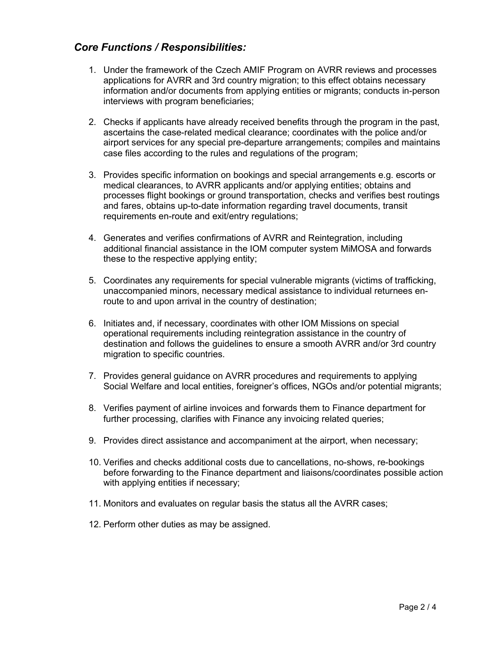# Core Functions / Responsibilities:

- 1. Under the framework of the Czech AMIF Program on AVRR reviews and processes applications for AVRR and 3rd country migration; to this effect obtains necessary information and/or documents from applying entities or migrants; conducts in-person interviews with program beneficiaries;
- 2. Checks if applicants have already received benefits through the program in the past, ascertains the case-related medical clearance; coordinates with the police and/or airport services for any special pre-departure arrangements; compiles and maintains case files according to the rules and regulations of the program;
- 3. Provides specific information on bookings and special arrangements e.g. escorts or medical clearances, to AVRR applicants and/or applying entities; obtains and processes flight bookings or ground transportation, checks and verifies best routings and fares, obtains up-to-date information regarding travel documents, transit requirements en-route and exit/entry regulations;
- 4. Generates and verifies confirmations of AVRR and Reintegration, including additional financial assistance in the IOM computer system MiMOSA and forwards these to the respective applying entity;
- 5. Coordinates any requirements for special vulnerable migrants (victims of trafficking, unaccompanied minors, necessary medical assistance to individual returnees enroute to and upon arrival in the country of destination;
- 6. Initiates and, if necessary, coordinates with other IOM Missions on special operational requirements including reintegration assistance in the country of destination and follows the guidelines to ensure a smooth AVRR and/or 3rd country migration to specific countries.
- 7. Provides general guidance on AVRR procedures and requirements to applying Social Welfare and local entities, foreigner's offices, NGOs and/or potential migrants;
- 8. Verifies payment of airline invoices and forwards them to Finance department for further processing, clarifies with Finance any invoicing related queries;
- 9. Provides direct assistance and accompaniment at the airport, when necessary;
- 10. Verifies and checks additional costs due to cancellations, no-shows, re-bookings before forwarding to the Finance department and liaisons/coordinates possible action with applying entities if necessary;
- 11. Monitors and evaluates on regular basis the status all the AVRR cases;
- 12. Perform other duties as may be assigned.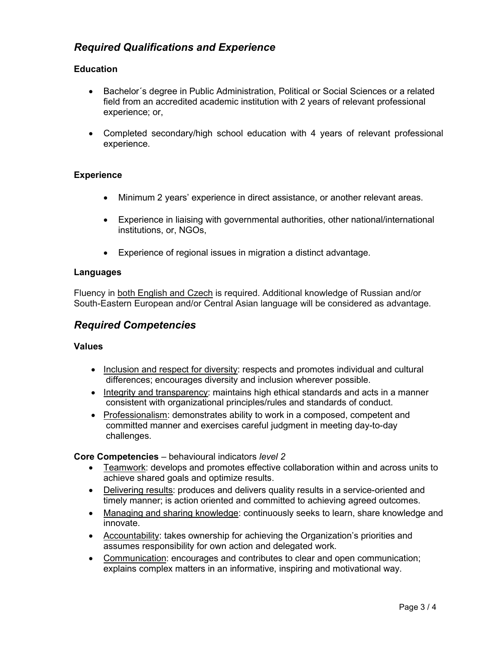# Required Qualifications and Experience

## **Education**

- Bachelor´s degree in Public Administration, Political or Social Sciences or a related field from an accredited academic institution with 2 years of relevant professional experience; or,
- Completed secondary/high school education with 4 years of relevant professional experience.

## **Experience**

- Minimum 2 years' experience in direct assistance, or another relevant areas.
- Experience in liaising with governmental authorities, other national/international institutions, or, NGOs,
- Experience of regional issues in migration a distinct advantage.

### Languages

Fluency in both English and Czech is required. Additional knowledge of Russian and/or South-Eastern European and/or Central Asian language will be considered as advantage.

## Required Competencies

### Values

- Inclusion and respect for diversity: respects and promotes individual and cultural differences; encourages diversity and inclusion wherever possible.
- Integrity and transparency: maintains high ethical standards and acts in a manner consistent with organizational principles/rules and standards of conduct.
- Professionalism: demonstrates ability to work in a composed, competent and committed manner and exercises careful judgment in meeting day-to-day challenges.

### Core Competencies – behavioural indicators level 2

- Teamwork: develops and promotes effective collaboration within and across units to achieve shared goals and optimize results.
- Delivering results: produces and delivers quality results in a service-oriented and timely manner; is action oriented and committed to achieving agreed outcomes.
- Managing and sharing knowledge: continuously seeks to learn, share knowledge and innovate.
- Accountability: takes ownership for achieving the Organization's priorities and assumes responsibility for own action and delegated work.
- Communication: encourages and contributes to clear and open communication; explains complex matters in an informative, inspiring and motivational way.